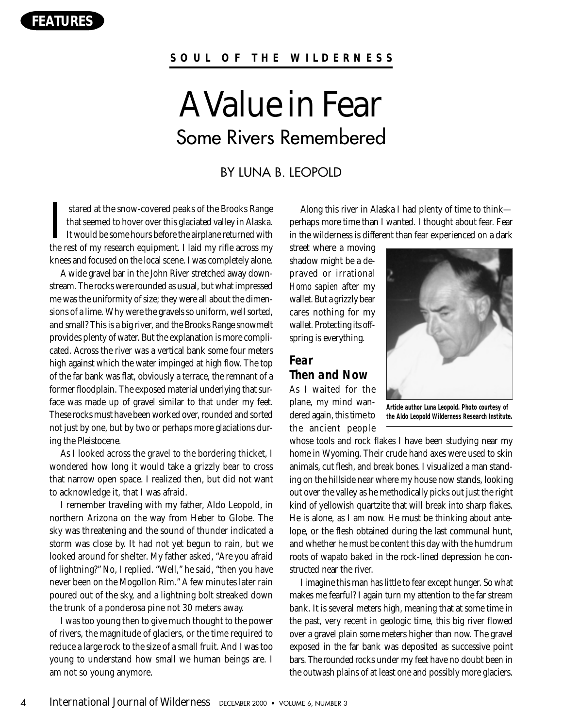### **SOUL OF THE WILDERNESS**

# A Value in Fear Some Rivers Remembered

### BY LUNA B. LEOPOLD

I stared at the snow-covered peaks of the Brooks Range that seemed to hover over this glaciated valley in Alaska.<br>It would be some hours before the airplane returned with the rest of my research equipment. I laid my rifle stared at the snow-covered peaks of the Brooks Range that seemed to hover over this glaciated valley in Alaska. It would be some hours before the airplane returned with knees and focused on the local scene. I was completely alone.

A wide gravel bar in the John River stretched away downstream. The rocks were rounded as usual, but what impressed me was the uniformity of size; they were all about the dimensions of a lime. Why were the gravels so uniform, well sorted, and small? This is a big river, and the Brooks Range snowmelt provides plenty of water. But the explanation is more complicated. Across the river was a vertical bank some four meters high against which the water impinged at high flow. The top of the far bank was flat, obviously a terrace, the remnant of a former floodplain. The exposed material underlying that surface was made up of gravel similar to that under my feet. These rocks must have been worked over, rounded and sorted not just by one, but by two or perhaps more glaciations during the Pleistocene.

As I looked across the gravel to the bordering thicket, I wondered how long it would take a grizzly bear to cross that narrow open space. I realized then, but did not want to acknowledge it, that I was afraid.

I remember traveling with my father, Aldo Leopold, in northern Arizona on the way from Heber to Globe. The sky was threatening and the sound of thunder indicated a storm was close by. It had not yet begun to rain, but we looked around for shelter. My father asked, "Are you afraid of lightning?" No, I replied. "Well," he said, "then you have never been on the Mogollon Rim." A few minutes later rain poured out of the sky, and a lightning bolt streaked down the trunk of a ponderosa pine not 30 meters away.

I was too young then to give much thought to the power of rivers, the magnitude of glaciers, or the time required to reduce a large rock to the size of a small fruit. And I was too young to understand how small we human beings are. I am not so young anymore.

Along this river in Alaska I had plenty of time to think perhaps more time than I wanted. I thought about fear. Fear in the wilderness is different than fear experienced on a dark

street where a moving shadow might be a depraved or irrational *Homo sapien* after my wallet. But a grizzly bear cares nothing for my wallet. Protecting its offspring is everything.

## **Fear Then and Now**

As I waited for the plane, my mind wandered again, this time to the ancient people



**Article author Luna Leopold. Photo courtesy of the Aldo Leopold Wilderness Research Institute.**

whose tools and rock flakes I have been studying near my home in Wyoming. Their crude hand axes were used to skin animals, cut flesh, and break bones. I visualized a man standing on the hillside near where my house now stands, looking out over the valley as he methodically picks out just the right kind of yellowish quartzite that will break into sharp flakes. He is alone, as I am now. He must be thinking about antelope, or the flesh obtained during the last communal hunt, and whether he must be content this day with the humdrum roots of wapato baked in the rock-lined depression he constructed near the river.

I imagine this man has little to fear except hunger. So what makes me fearful? I again turn my attention to the far stream bank. It is several meters high, meaning that at some time in the past, very recent in geologic time, this big river flowed over a gravel plain some meters higher than now. The gravel exposed in the far bank was deposited as successive point bars. The rounded rocks under my feet have no doubt been in the outwash plains of at least one and possibly more glaciers.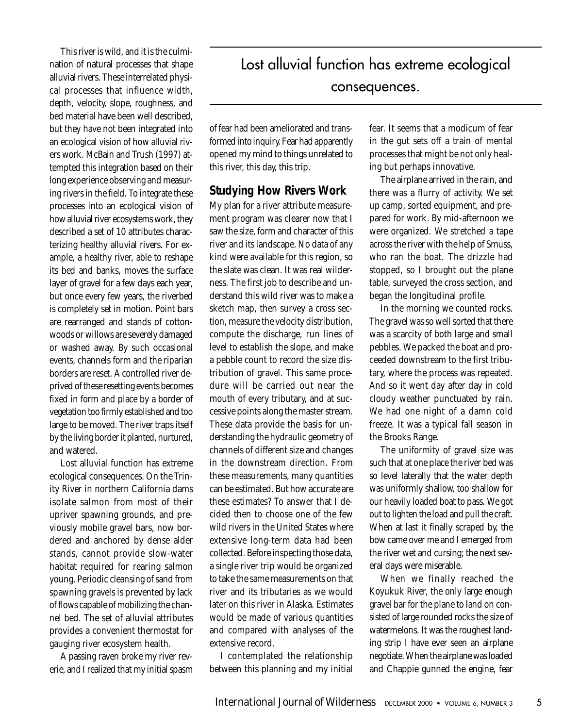This river is wild, and it is the culmination of natural processes that shape alluvial rivers. These interrelated physical processes that influence width, depth, velocity, slope, roughness, and bed material have been well described, but they have not been integrated into an ecological vision of how alluvial rivers work. McBain and Trush (1997) attempted this integration based on their long experience observing and measuring rivers in the field. To integrate these processes into an ecological vision of how alluvial river ecosystems work, they described a set of 10 attributes characterizing healthy alluvial rivers. For example, a healthy river, able to reshape its bed and banks, moves the surface layer of gravel for a few days each year, but once every few years, the riverbed is completely set in motion. Point bars are rearranged and stands of cottonwoods or willows are severely damaged or washed away. By such occasional events, channels form and the riparian borders are reset. A controlled river deprived of these resetting events becomes fixed in form and place by a border of vegetation too firmly established and too large to be moved. The river traps itself by the living border it planted, nurtured, and watered.

Lost alluvial function has extreme ecological consequences. On the Trinity River in northern California dams isolate salmon from most of their upriver spawning grounds, and previously mobile gravel bars, now bordered and anchored by dense alder stands, cannot provide slow-water habitat required for rearing salmon young. Periodic cleansing of sand from spawning gravels is prevented by lack of flows capable of mobilizing the channel bed. The set of alluvial attributes provides a convenient thermostat for gauging river ecosystem health.

A passing raven broke my river reverie, and I realized that my initial spasm

# Lost alluvial function has extreme ecological consequences.

of fear had been ameliorated and transformed into inquiry. Fear had apparently opened my mind to things unrelated to this river, this day, this trip.

### **Studying How Rivers Work**

My plan for a river attribute measurement program was clearer now that I saw the size, form and character of this river and its landscape. No data of any kind were available for this region, so the slate was clean. It was real wilderness. The first job to describe and understand this wild river was to make a sketch map, then survey a cross section, measure the velocity distribution, compute the discharge, run lines of level to establish the slope, and make a pebble count to record the size distribution of gravel. This same procedure will be carried out near the mouth of every tributary, and at successive points along the master stream. These data provide the basis for understanding the hydraulic geometry of channels of different size and changes in the downstream direction. From these measurements, many quantities can be estimated. But how accurate are these estimates? To answer that I decided then to choose one of the few wild rivers in the United States where extensive long-term data had been collected. Before inspecting those data, a single river trip would be organized to take the same measurements on that river and its tributaries as we would later on this river in Alaska. Estimates would be made of various quantities and compared with analyses of the extensive record.

I contemplated the relationship between this planning and my initial

fear. It seems that a modicum of fear in the gut sets off a train of mental processes that might be not only healing but perhaps innovative.

The airplane arrived in the rain, and there was a flurry of activity. We set up camp, sorted equipment, and prepared for work. By mid-afternoon we were organized. We stretched a tape across the river with the help of Smuss, who ran the boat. The drizzle had stopped, so I brought out the plane table, surveyed the cross section, and began the longitudinal profile.

In the morning we counted rocks. The gravel was so well sorted that there was a scarcity of both large and small pebbles. We packed the boat and proceeded downstream to the first tributary, where the process was repeated. And so it went day after day in cold cloudy weather punctuated by rain. We had one night of a damn cold freeze. It was a typical fall season in the Brooks Range.

The uniformity of gravel size was such that at one place the river bed was so level laterally that the water depth was uniformly shallow, too shallow for our heavily loaded boat to pass. We got out to lighten the load and pull the craft. When at last it finally scraped by, the bow came over me and I emerged from the river wet and cursing; the next several days were miserable.

When we finally reached the Koyukuk River, the only large enough gravel bar for the plane to land on consisted of large rounded rocks the size of watermelons. It was the roughest landing strip I have ever seen an airplane negotiate. When the airplane was loaded and Chappie gunned the engine, fear